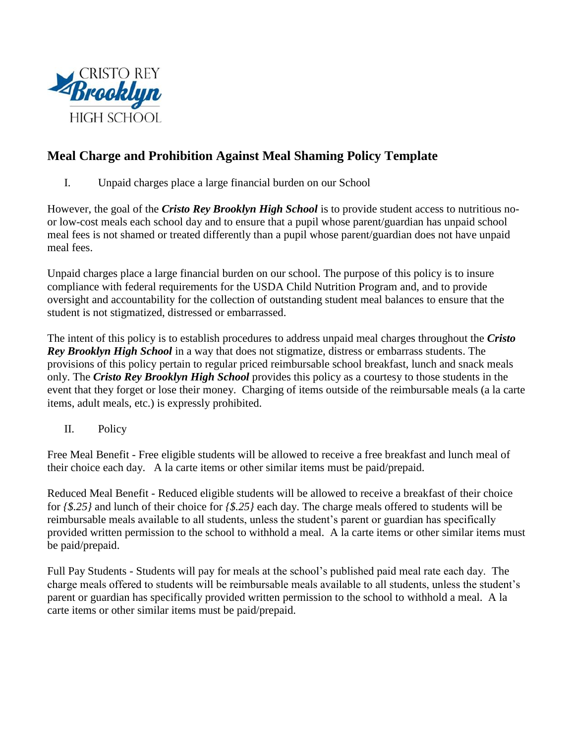

# **Meal Charge and Prohibition Against Meal Shaming Policy Template**

I. Unpaid charges place a large financial burden on our School

However, the goal of the *Cristo Rey Brooklyn High School* is to provide student access to nutritious noor low-cost meals each school day and to ensure that a pupil whose parent/guardian has unpaid school meal fees is not shamed or treated differently than a pupil whose parent/guardian does not have unpaid meal fees.

Unpaid charges place a large financial burden on our school. The purpose of this policy is to insure compliance with federal requirements for the USDA Child Nutrition Program and, and to provide oversight and accountability for the collection of outstanding student meal balances to ensure that the student is not stigmatized, distressed or embarrassed.

The intent of this policy is to establish procedures to address unpaid meal charges throughout the *Cristo Rey Brooklyn High School* in a way that does not stigmatize, distress or embarrass students. The provisions of this policy pertain to regular priced reimbursable school breakfast, lunch and snack meals only. The *Cristo Rey Brooklyn High School* provides this policy as a courtesy to those students in the event that they forget or lose their money. Charging of items outside of the reimbursable meals (a la carte items, adult meals, etc.) is expressly prohibited.

II. Policy

Free Meal Benefit - Free eligible students will be allowed to receive a free breakfast and lunch meal of their choice each day. A la carte items or other similar items must be paid/prepaid.

Reduced Meal Benefit - Reduced eligible students will be allowed to receive a breakfast of their choice for *{\$.25}* and lunch of their choice for *{\$.25}* each day. The charge meals offered to students will be reimbursable meals available to all students, unless the student's parent or guardian has specifically provided written permission to the school to withhold a meal. A la carte items or other similar items must be paid/prepaid.

Full Pay Students - Students will pay for meals at the school's published paid meal rate each day. The charge meals offered to students will be reimbursable meals available to all students, unless the student's parent or guardian has specifically provided written permission to the school to withhold a meal. A la carte items or other similar items must be paid/prepaid.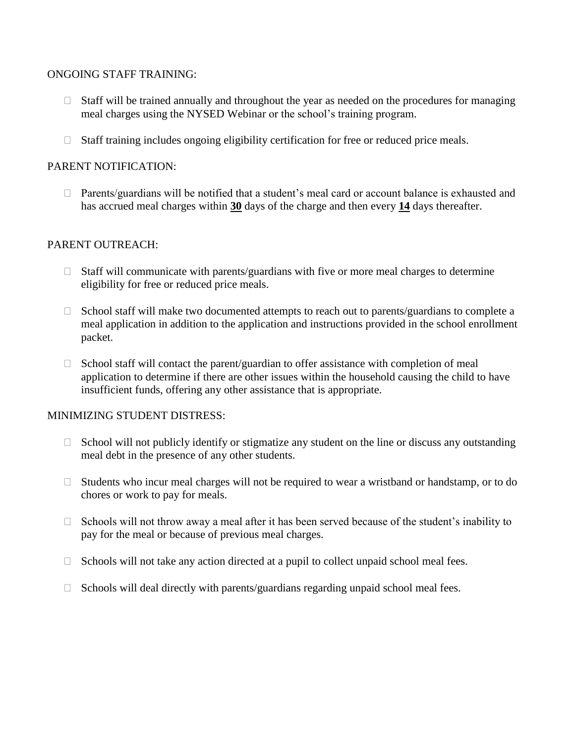#### ONGOING STAFF TRAINING:

- $\Box$  Staff will be trained annually and throughout the year as needed on the procedures for managing meal charges using the NYSED Webinar or the school's training program.
- $\Box$  Staff training includes ongoing eligibility certification for free or reduced price meals.

# PARENT NOTIFICATION:

 $\Box$  Parents/guardians will be notified that a student's meal card or account balance is exhausted and has accrued meal charges within **30** days of the charge and then every **14** days thereafter.

### PARENT OUTREACH:

- $\Box$  Staff will communicate with parents/guardians with five or more meal charges to determine eligibility for free or reduced price meals.
- $\Box$  School staff will make two documented attempts to reach out to parents/guardians to complete a meal application in addition to the application and instructions provided in the school enrollment packet.
- $\Box$  School staff will contact the parent/guardian to offer assistance with completion of meal application to determine if there are other issues within the household causing the child to have insufficient funds, offering any other assistance that is appropriate.

#### MINIMIZING STUDENT DISTRESS:

- $\Box$  School will not publicly identify or stigmatize any student on the line or discuss any outstanding meal debt in the presence of any other students.
- $\Box$  Students who incur meal charges will not be required to wear a wristband or handstamp, or to do chores or work to pay for meals.
- □ Schools will not throw away a meal after it has been served because of the student's inability to pay for the meal or because of previous meal charges.
- $\Box$  Schools will not take any action directed at a pupil to collect unpaid school meal fees.
- $\Box$  Schools will deal directly with parents/guardians regarding unpaid school meal fees.